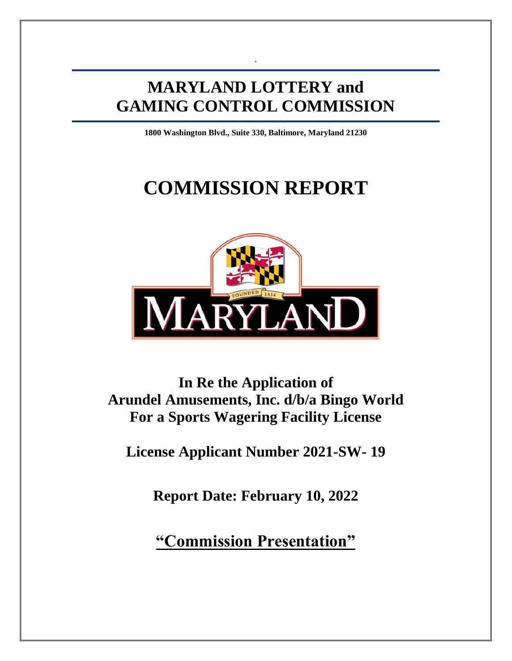# **MARYLAND LOTTERY and GAMING CONTROL COMMISSION**

.

**1800 Washington Blvd., Suite 330, Baltimore, Maryland 21230**

# **COMMISSION REPORT**



**In Re the Application of Arundel Amusements, Inc. d/b/a Bingo World For a Sports Wagering Facility License**

**License Applicant Number 2021-SW- 19**

**Report Date: February 10, 2022**

**"Commission Presentation"**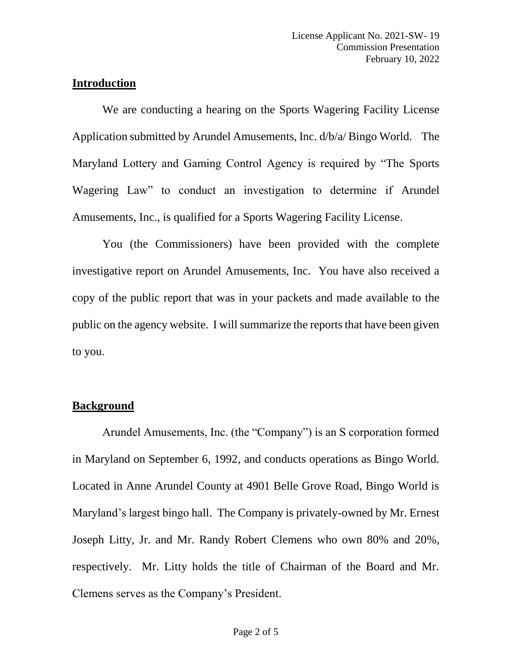#### **Introduction**

We are conducting a hearing on the Sports Wagering Facility License Application submitted by Arundel Amusements, Inc. d/b/a/ Bingo World. The Maryland Lottery and Gaming Control Agency is required by "The Sports Wagering Law" to conduct an investigation to determine if Arundel Amusements, Inc., is qualified for a Sports Wagering Facility License.

You (the Commissioners) have been provided with the complete investigative report on Arundel Amusements, Inc. You have also received a copy of the public report that was in your packets and made available to the public on the agency website. I will summarize the reports that have been given to you.

#### **Background**

Arundel Amusements, Inc. (the "Company") is an S corporation formed in Maryland on September 6, 1992, and conducts operations as Bingo World. Located in Anne Arundel County at 4901 Belle Grove Road, Bingo World is Maryland's largest bingo hall. The Company is privately-owned by Mr. Ernest Joseph Litty, Jr. and Mr. Randy Robert Clemens who own 80% and 20%, respectively. Mr. Litty holds the title of Chairman of the Board and Mr. Clemens serves as the Company's President.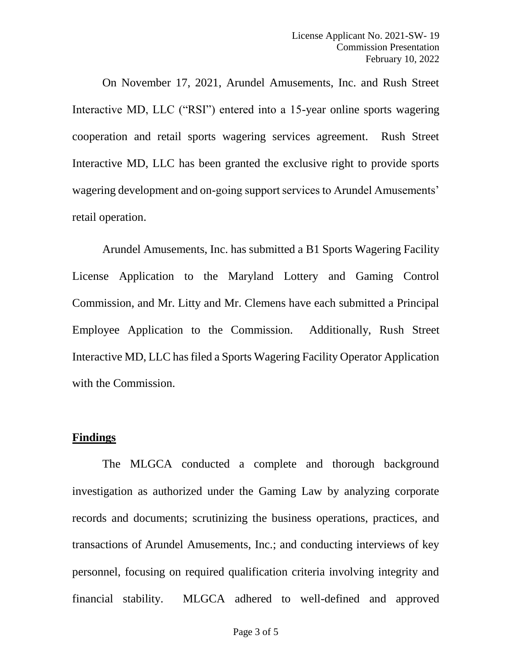On November 17, 2021, Arundel Amusements, Inc. and Rush Street Interactive MD, LLC ("RSI") entered into a 15-year online sports wagering cooperation and retail sports wagering services agreement. Rush Street Interactive MD, LLC has been granted the exclusive right to provide sports wagering development and on-going support services to Arundel Amusements' retail operation.

Arundel Amusements, Inc. has submitted a B1 Sports Wagering Facility License Application to the Maryland Lottery and Gaming Control Commission, and Mr. Litty and Mr. Clemens have each submitted a Principal Employee Application to the Commission. Additionally, Rush Street Interactive MD, LLC has filed a Sports Wagering Facility Operator Application with the Commission.

#### **Findings**

The MLGCA conducted a complete and thorough background investigation as authorized under the Gaming Law by analyzing corporate records and documents; scrutinizing the business operations, practices, and transactions of Arundel Amusements, Inc.; and conducting interviews of key personnel, focusing on required qualification criteria involving integrity and financial stability. MLGCA adhered to well-defined and approved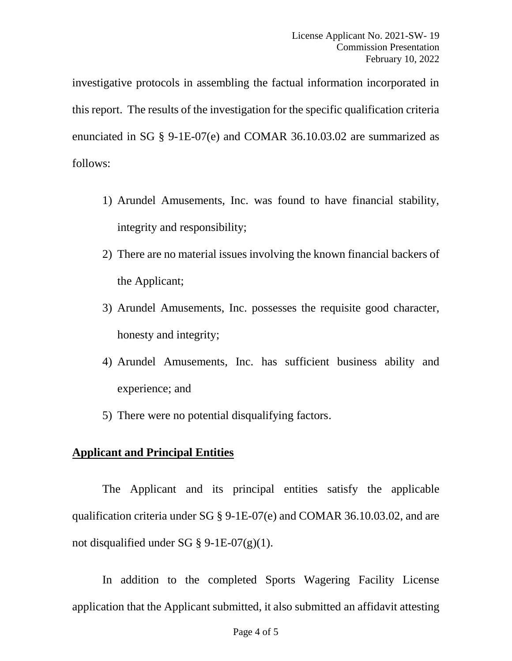investigative protocols in assembling the factual information incorporated in this report. The results of the investigation for the specific qualification criteria enunciated in SG § 9-1E-07(e) and COMAR 36.10.03.02 are summarized as follows:

- 1) Arundel Amusements, Inc. was found to have financial stability, integrity and responsibility;
- 2) There are no material issues involving the known financial backers of the Applicant;
- 3) Arundel Amusements, Inc. possesses the requisite good character, honesty and integrity;
- 4) Arundel Amusements, Inc. has sufficient business ability and experience; and
- 5) There were no potential disqualifying factors.

# **Applicant and Principal Entities**

The Applicant and its principal entities satisfy the applicable qualification criteria under SG § 9-1E-07(e) and COMAR 36.10.03.02, and are not disqualified under SG  $\S$  9-1E-07(g)(1).

In addition to the completed Sports Wagering Facility License application that the Applicant submitted, it also submitted an affidavit attesting